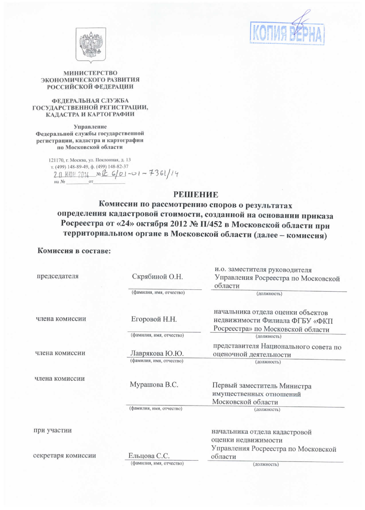



### МИНИСТЕРСТВО ЭКОНОМИЧЕСКОГО РАЗВИТИЯ **РОССИЙСКОЙ ФЕДЕРАЦИИ**

### ФЕЛЕРАЛЬНАЯ СЛУЖБА ГОСУДАРСТВЕННОЙ РЕГИСТРАЦИИ, КАДАСТРА И КАРТОГРАФИИ

Управление Федеральной службы государственной регистрации, кадастра и картографии по Московской области

> 121170, г. Москва, ул. Поклонная, д. 13 т. (499) 148-89-49, ф. (499) 148-82-37 20 MOH 2014 No R 6/01-01-7361/14 на  $N_2$  $_{\text{OT}}$

# **РЕШЕНИЕ**

Комиссии по рассмотрению споров о результатах определения кадастровой стоимости, созданной на основании приказа Росреестра от «24» октября 2012 № П/452 в Московской области при территориальном органе в Московской области (далее - комиссия)

## Комиссия в составе:

|                    |                          | и.о. заместителя руководителя                                                                            |
|--------------------|--------------------------|----------------------------------------------------------------------------------------------------------|
| председателя       | Скрябиной О.Н.           | Управления Росреестра по Московской                                                                      |
|                    |                          | области                                                                                                  |
|                    | (фамилия, имя, отчество) | (должность)                                                                                              |
| члена комиссии     | Егоровой Н.Н.            | начальника отдела оценки объектов<br>недвижимости Филиала ФГБУ «ФКП<br>Росреестра» по Московской области |
|                    | (фамилия, имя, отчество) | (должность)                                                                                              |
| члена комиссии     | Лаврякова Ю.Ю.           | представителя Национального совета по<br>оценочной деятельности                                          |
|                    | (фамилия, имя, отчество) | (должность)                                                                                              |
| члена комиссии     | Мурашова В.С.            | Первый заместитель Министра<br>имущественных отношений<br>Московской области                             |
|                    | (фамилия, имя, отчество) | (должность)                                                                                              |
|                    |                          |                                                                                                          |
| при участии        |                          | начальника отдела кадастровой<br>оценки недвижимости                                                     |
|                    |                          | Управления Росреестра по Московской                                                                      |
| секретаря комиссии | Ельцова С.С.             | области                                                                                                  |
|                    | (фамилия, имя, отчество) | (должность)                                                                                              |
|                    |                          |                                                                                                          |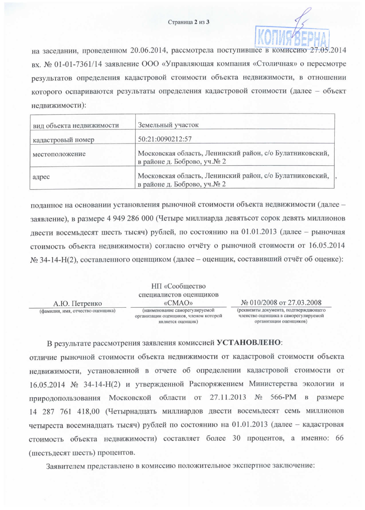

на заседании, проведенном 20.06.2014, рассмотрела поступившее в комиссию 27.05.2014 вх. № 01-01-7361/14 заявление ООО «Управляющая компания «Столичная» о пересмотре результатов определения кадастровой стоимости объекта недвижимости, в отношении которого оспариваются результаты определения кадастровой стоимости (далее - объект недвижимости):

| вид объекта недвижимости | Земельный участок                                                                       |  |
|--------------------------|-----------------------------------------------------------------------------------------|--|
| кадастровый номер        | 50:21:0090212:57                                                                        |  |
| местоположение           | Московская область, Ленинский район, с/о Булатниковский,<br>в районе д. Боброво, уч.№ 2 |  |
| адрес                    | Московская область, Ленинский район, с/о Булатниковский,<br>в районе д. Боброво, уч.№ 2 |  |

поданное на основании установления рыночной стоимости объекта недвижимости (далее заявление), в размере 4 949 286 000 (Четыре миллиарда девятьсот сорок девять миллионов лвести восемьдесят шесть тысяч) рублей, по состоянию на 01.01.2013 (далее - рыночная стоимость объекта недвижимости) согласно отчёту о рыночной стоимости от 16.05.2014 № 34-14-Н(2), составленного оценщиком (далее – оценщик, составивший отчёт об оценке):

|                                   | НП «Сообщество                                                                               |                                                                                                         |
|-----------------------------------|----------------------------------------------------------------------------------------------|---------------------------------------------------------------------------------------------------------|
|                                   | специалистов оценщиков                                                                       |                                                                                                         |
| А.Ю. Петренко                     | «CMAO»                                                                                       | № 010/2008 от 27.03.2008                                                                                |
| (фамилия, имя, отчество оценщика) | (наименование саморегулируемой<br>организации оценщиков, членом которой<br>является оценшик) | (реквизиты документа, подтверждающего<br>членство оценщика в саморегулируемой<br>организации оценщиков) |

В результате рассмотрения заявления комиссией УСТАНОВЛЕНО:

отличие рыночной стоимости объекта недвижимости от кадастровой стоимости объекта недвижимости, установленной в отчете об определении кадастровой стоимости от 16.05.2014 № 34-14-Н(2) и утвержденной Распоряжением Министерства экологии и природопользования Московской области от 27.11.2013 № 566-РМ в размере 14 287 761 418,00 (Четырнадцать миллиардов двести восемьдесят семь миллионов четыреста восемнадцать тысяч) рублей по состоянию на 01.01.2013 (далее - кадастровая стоимость объекта недвижимости) составляет более 30 процентов, а именно: 66 (шестьдесят шесть) процентов.

Заявителем представлено в комиссию положительное экспертное заключение: